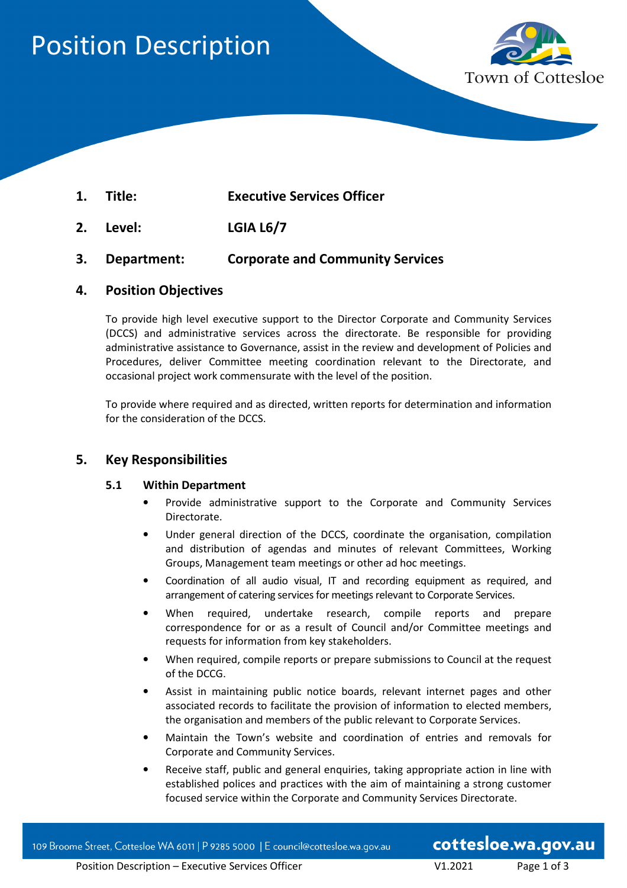# Position Description



- **1. Title: Executive Services Officer**
- **2. Level: LGIA L6/7**
- **3. Department: Corporate and Community Services**

## **4. Position Objectives**

To provide high level executive support to the Director Corporate and Community Services (DCCS) and administrative services across the directorate. Be responsible for providing administrative assistance to Governance, assist in the review and development of Policies and Procedures, deliver Committee meeting coordination relevant to the Directorate, and occasional project work commensurate with the level of the position.

To provide where required and as directed, written reports for determination and information for the consideration of the DCCS.

## **5. Key Responsibilities**

#### **5.1 Within Department**

- Provide administrative support to the Corporate and Community Services Directorate.
- Under general direction of the DCCS, coordinate the organisation, compilation and distribution of agendas and minutes of relevant Committees, Working Groups, Management team meetings or other ad hoc meetings.
- Coordination of all audio visual, IT and recording equipment as required, and arrangement of catering services for meetings relevant to Corporate Services.
- When required, undertake research, compile reports and prepare correspondence for or as a result of Council and/or Committee meetings and requests for information from key stakeholders.
- When required, compile reports or prepare submissions to Council at the request of the DCCG.
- Assist in maintaining public notice boards, relevant internet pages and other associated records to facilitate the provision of information to elected members, the organisation and members of the public relevant to Corporate Services.
- Maintain the Town's website and coordination of entries and removals for Corporate and Community Services.
- Receive staff, public and general enquiries, taking appropriate action in line with established polices and practices with the aim of maintaining a strong customer focused service within the Corporate and Community Services Directorate.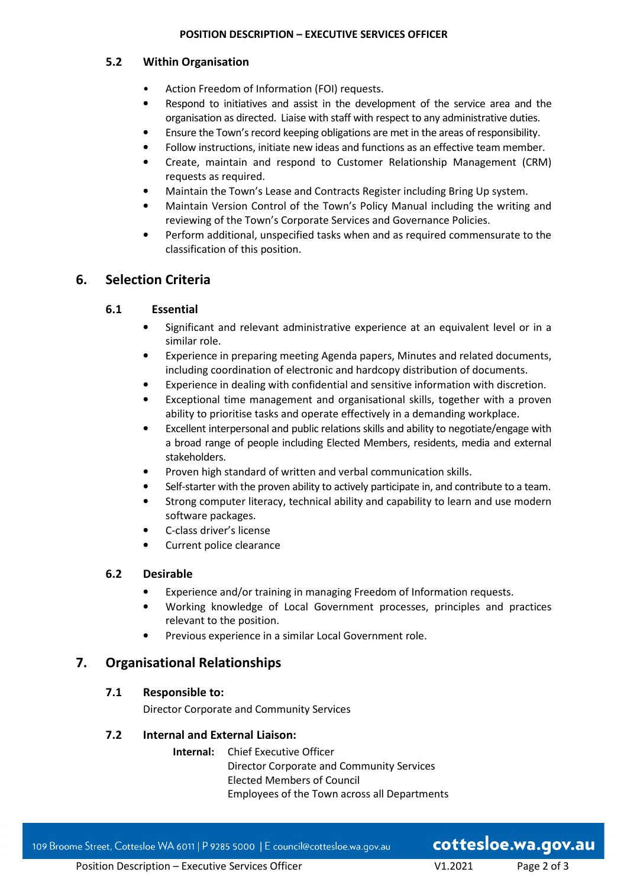#### **POSITION DESCRIPTION – EXECUTIVE SERVICES OFFICER**

### **5.2 Within Organisation**

- Action Freedom of Information (FOI) requests.
- Respond to initiatives and assist in the development of the service area and the organisation as directed. Liaise with staff with respect to any administrative duties.
- Ensure the Town's record keeping obligations are met in the areas of responsibility.
- Follow instructions, initiate new ideas and functions as an effective team member.
- Create, maintain and respond to Customer Relationship Management (CRM) requests as required.
- Maintain the Town's Lease and Contracts Register including Bring Up system.
- Maintain Version Control of the Town's Policy Manual including the writing and reviewing of the Town's Corporate Services and Governance Policies.
- Perform additional, unspecified tasks when and as required commensurate to the classification of this position.

# **6. Selection Criteria**

## **6.1 Essential**

- Significant and relevant administrative experience at an equivalent level or in a similar role.
- Experience in preparing meeting Agenda papers, Minutes and related documents, including coordination of electronic and hardcopy distribution of documents.
- Experience in dealing with confidential and sensitive information with discretion.
- Exceptional time management and organisational skills, together with a proven ability to prioritise tasks and operate effectively in a demanding workplace.
- Excellent interpersonal and public relations skills and ability to negotiate/engage with a broad range of people including Elected Members, residents, media and external stakeholders.
- Proven high standard of written and verbal communication skills.
- Self-starter with the proven ability to actively participate in, and contribute to a team.
- Strong computer literacy, technical ability and capability to learn and use modern software packages.
- C-class driver's license
- Current police clearance

#### **6.2 Desirable**

- Experience and/or training in managing Freedom of Information requests.
- Working knowledge of Local Government processes, principles and practices relevant to the position.
- Previous experience in a similar Local Government role.

## **7. Organisational Relationships**

#### **7.1 Responsible to:**

Director Corporate and Community Services

#### **7.2 Internal and External Liaison:**

 **Internal:** Chief Executive Officer Director Corporate and Community Services Elected Members of Council Employees of the Town across all Departments